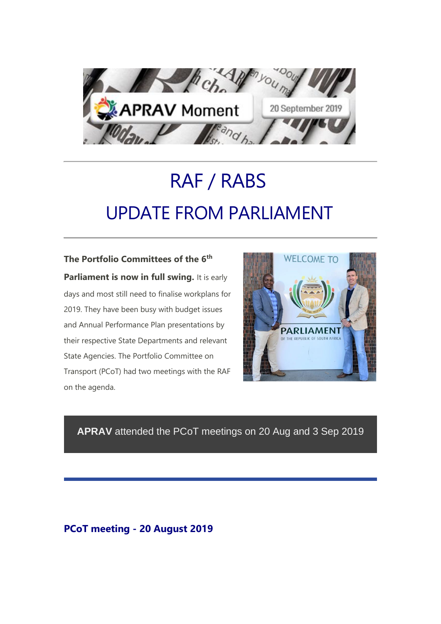

# RAF / RABS UPDATE FROM PARLIAMENT

**The Portfolio Committees of the 6th Parliament is now in full swing.** It is early days and most still need to finalise workplans for 2019. They have been busy with budget issues and Annual Performance Plan presentations by their respective State Departments and relevant State Agencies. The Portfolio Committee on Transport (PCoT) had two meetings with the RAF on the agenda.



# **APRAV** attended the PCoT meetings on 20 Aug and 3 Sep 2019

# **PCoT meeting - 20 August 2019**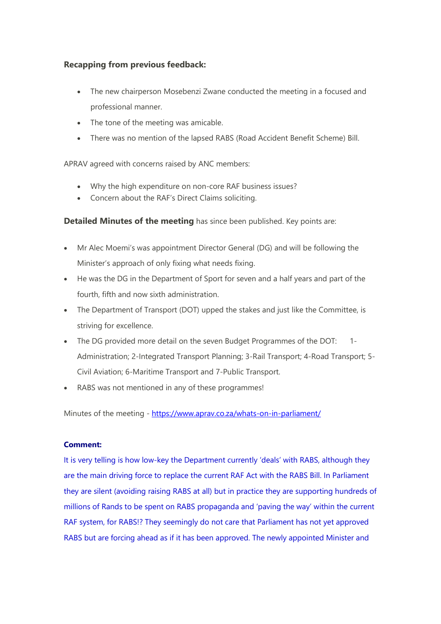## **Recapping from previous feedback:**

- The new chairperson Mosebenzi Zwane conducted the meeting in a focused and professional manner.
- The tone of the meeting was amicable.
- There was no mention of the lapsed RABS (Road Accident Benefit Scheme) Bill.

APRAV agreed with concerns raised by ANC members:

- Why the high expenditure on non-core RAF business issues?
- Concern about the RAF's Direct Claims soliciting.

**Detailed Minutes of the meeting** has since been published. Key points are:

- Mr Alec Moemi's was appointment Director General (DG) and will be following the Minister's approach of only fixing what needs fixing.
- He was the DG in the Department of Sport for seven and a half years and part of the fourth, fifth and now sixth administration.
- The Department of Transport (DOT) upped the stakes and just like the Committee, is striving for excellence.
- The DG provided more detail on the seven Budget Programmes of the DOT: 1- Administration; 2-Integrated Transport Planning; 3-Rail Transport; 4-Road Transport; 5- Civil Aviation; 6-Maritime Transport and 7-Public Transport.
- RABS was not mentioned in any of these programmes!

Minutes of the meeting - [https://www.aprav.co.za/whats-on-in-parliament/](https://us20.mailchimp.com/mctx/click?url=https%3A%2F%2Fwww.aprav.co.za%2Fwhats-on-in-parliament%2F&xid=4595d4c9fb&uid=110013942&pool=&subject=) 

## **Comment:**

It is very telling is how low-key the Department currently 'deals' with RABS, although they are the main driving force to replace the current RAF Act with the RABS Bill. In Parliament they are silent (avoiding raising RABS at all) but in practice they are supporting hundreds of millions of Rands to be spent on RABS propaganda and 'paving the way' within the current RAF system, for RABS!? They seemingly do not care that Parliament has not yet approved RABS but are forcing ahead as if it has been approved. The newly appointed Minister and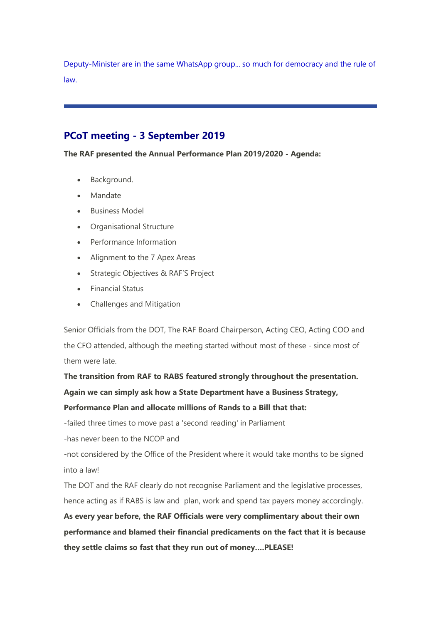Deputy-Minister are in the same WhatsApp group... so much for democracy and the rule of law.

# **PCoT meeting - 3 September 2019**

**The RAF presented the Annual Performance Plan 2019/2020 - Agenda:**

- Background.
- Mandate
- Business Model
- Organisational Structure
- Performance Information
- Alignment to the 7 Apex Areas
- Strategic Objectives & RAF'S Project
- Financial Status
- Challenges and Mitigation

Senior Officials from the DOT, The RAF Board Chairperson, Acting CEO, Acting COO and the CFO attended, although the meeting started without most of these - since most of them were late.

**The transition from RAF to RABS featured strongly throughout the presentation. Again we can simply ask how a State Department have a Business Strategy,** 

**Performance Plan and allocate millions of Rands to a Bill that that:**

-failed three times to move past a 'second reading' in Parliament

-has never been to the NCOP and

-not considered by the Office of the President where it would take months to be signed into a law!

The DOT and the RAF clearly do not recognise Parliament and the legislative processes, hence acting as if RABS is law and plan, work and spend tax payers money accordingly.

**As every year before, the RAF Officials were very complimentary about their own performance and blamed their financial predicaments on the fact that it is because they settle claims so fast that they run out of money….PLEASE!**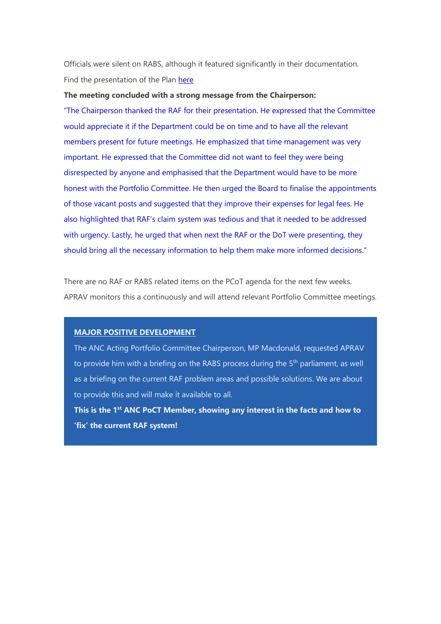Officials were silent on RABS, although it featured significantly in their documentation. Find the presentation of the Plan [here](https://us20.mailchimp.com/mctx/click?url=https%3A%2F%2Fwww.aprav.co.za%2Fwp-content%2Fuploads%2F2019%2F09%2FRAF-Annual-Performance-Plan-2019-20-presented-3-Sept-2019.pdf&xid=4595d4c9fb&uid=110013942&pool=&subject=)

#### **The meeting concluded with a strong message from the Chairperson:**

"The Chairperson thanked the RAF for their presentation. He expressed that the Committee would appreciate it if the Department could be on time and to have all the relevant members present for future meetings. He emphasized that time management was very important. He expressed that the Committee did not want to feel they were being disrespected by anyone and emphasised that the Department would have to be more honest with the Portfolio Committee. He then urged the Board to finalise the appointments of those vacant posts and suggested that they improve their expenses for legal fees. He also highlighted that RAF's claim system was tedious and that it needed to be addressed with urgency. Lastly, he urged that when next the RAF or the DoT were presenting, they should bring all the necessary information to help them make more informed decisions."

There are no RAF or RABS related items on the PCoT agenda for the next few weeks. APRAV monitors this a continuously and will attend relevant Portfolio Committee meetings.

#### **MAJOR POSITIVE DEVELOPMENT**

The ANC Acting Portfolio Committee Chairperson, MP Macdonald, requested APRAV to provide him with a briefing on the RABS process during the  $5<sup>th</sup>$  parliament, as well as a briefing on the current RAF problem areas and possible solutions. We are about to provide this and will make it available to all.

**This is the 1st ANC PoCT Member, showing any interest in the facts and how to 'fix' the current RAF system!**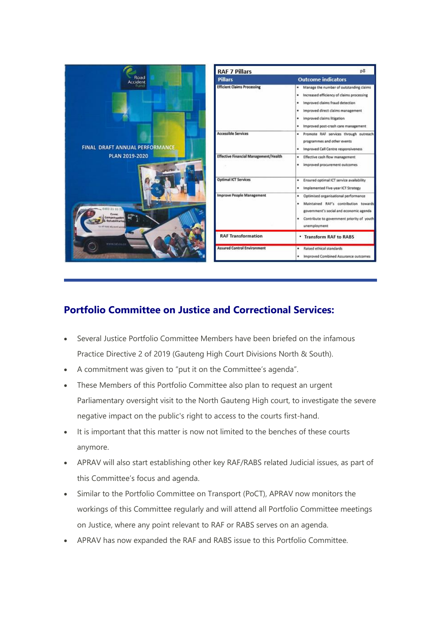

# **Portfolio Committee on Justice and Correctional Services:**

- Several Justice Portfolio Committee Members have been briefed on the infamous Practice Directive 2 of 2019 (Gauteng High Court Divisions North & South).
- A commitment was given to "put it on the Committee's agenda".
- These Members of this Portfolio Committee also plan to request an urgent Parliamentary oversight visit to the North Gauteng High court, to investigate the severe negative impact on the public's right to access to the courts first-hand.
- It is important that this matter is now not limited to the benches of these courts anymore.
- APRAV will also start establishing other key RAF/RABS related Judicial issues, as part of this Committee's focus and agenda.
- Similar to the Portfolio Committee on Transport (PoCT), APRAV now monitors the workings of this Committee regularly and will attend all Portfolio Committee meetings on Justice, where any point relevant to RAF or RABS serves on an agenda.
- APRAV has now expanded the RAF and RABS issue to this Portfolio Committee.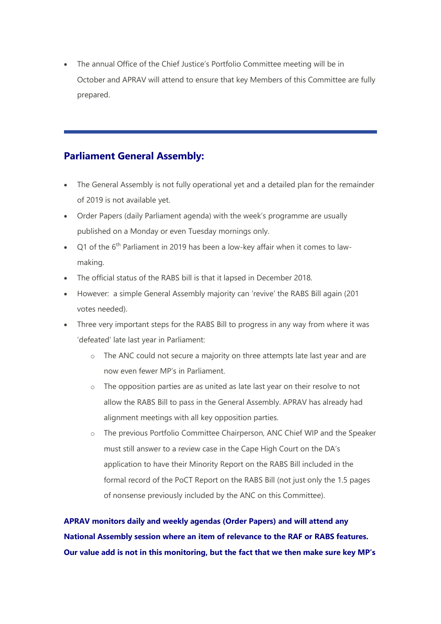• The annual Office of the Chief Justice's Portfolio Committee meeting will be in October and APRAV will attend to ensure that key Members of this Committee are fully prepared.

## **Parliament General Assembly:**

- The General Assembly is not fully operational yet and a detailed plan for the remainder of 2019 is not available yet.
- Order Papers (daily Parliament agenda) with the week's programme are usually published on a Monday or even Tuesday mornings only.
- $Q1$  of the 6<sup>th</sup> Parliament in 2019 has been a low-key affair when it comes to lawmaking.
- The official status of the RABS bill is that it lapsed in December 2018.
- However: a simple General Assembly majority can 'revive' the RABS Bill again (201 votes needed).
- Three very important steps for the RABS Bill to progress in any way from where it was 'defeated' late last year in Parliament:
	- o The ANC could not secure a majority on three attempts late last year and are now even fewer MP's in Parliament.
	- o The opposition parties are as united as late last year on their resolve to not allow the RABS Bill to pass in the General Assembly. APRAV has already had alignment meetings with all key opposition parties.
	- o The previous Portfolio Committee Chairperson, ANC Chief WIP and the Speaker must still answer to a review case in the Cape High Court on the DA's application to have their Minority Report on the RABS Bill included in the formal record of the PoCT Report on the RABS Bill (not just only the 1.5 pages of nonsense previously included by the ANC on this Committee).

**APRAV monitors daily and weekly agendas (Order Papers) and will attend any National Assembly session where an item of relevance to the RAF or RABS features. Our value add is not in this monitoring, but the fact that we then make sure key MP's**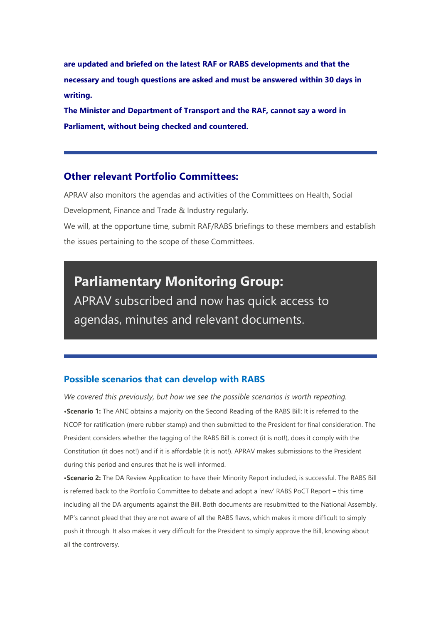**are updated and briefed on the latest RAF or RABS developments and that the necessary and tough questions are asked and must be answered within 30 days in writing.**

**The Minister and Department of Transport and the RAF, cannot say a word in Parliament, without being checked and countered.**

## **Other relevant Portfolio Committees:**

APRAV also monitors the agendas and activities of the Committees on Health, Social Development, Finance and Trade & Industry regularly. We will, at the opportune time, submit RAF/RABS briefings to these members and establish

the issues pertaining to the scope of these Committees.

**Parliamentary Monitoring Group:** APRAV subscribed and now has quick access to agendas, minutes and relevant documents.

## **Possible scenarios that can develop with RABS**

*We covered this previously, but how we see the possible scenarios is worth repeating.* **•Scenario 1:** The ANC obtains a majority on the Second Reading of the RABS Bill: It is referred to the NCOP for ratification (mere rubber stamp) and then submitted to the President for final consideration. The President considers whether the tagging of the RABS Bill is correct (it is not!), does it comply with the Constitution (it does not!) and if it is affordable (it is not!). APRAV makes submissions to the President during this period and ensures that he is well informed.

**•Scenario 2:** The DA Review Application to have their Minority Report included, is successful. The RABS Bill is referred back to the Portfolio Committee to debate and adopt a 'new' RABS PoCT Report – this time including all the DA arguments against the Bill. Both documents are resubmitted to the National Assembly. MP's cannot plead that they are not aware of all the RABS flaws, which makes it more difficult to simply push it through. It also makes it very difficult for the President to simply approve the Bill, knowing about all the controversy.